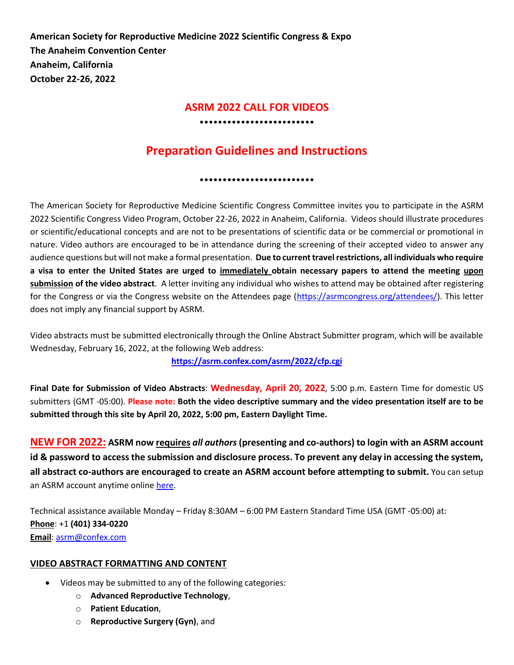**American Society for Reproductive Medicine 2022 Scientific Congress & Expo The Anaheim Convention Center Anaheim, California October 22-26, 2022**

# **ASRM 2022 CALL FOR VIDEOS** •••••••••••••••••••••••••

# **Preparation Guidelines and Instructions**

•••••••••••••••••••••••••

The American Society for Reproductive Medicine Scientific Congress Committee invites you to participate in the ASRM 2022 Scientific Congress Video Program, October 22-26, 2022 in Anaheim, California. Videos should illustrate procedures or scientific/educational concepts and are not to be presentations of scientific data or be commercial or promotional in nature. Video authors are encouraged to be in attendance during the screening of their accepted video to answer any audience questions but will not make a formal presentation. **Due to current travel restrictions, all individuals who require a visa to enter the United States are urged to immediately obtain necessary papers to attend the meeting upon submission of the video abstract**. A letter inviting any individual who wishes to attend may be obtained after registering for the Congress or via the Congress website on the Attendees page [\(https://asrmcongress.org/attendees/\)](https://asrmcongress.org/attendees/). This letter does not imply any financial support by ASRM.

Video abstracts must be submitted electronically through the Online Abstract Submitter program, which will be available Wednesday, February 16, 2022, at the following Web address:

**<https://asrm.confex.com/asrm/2022/cfp.cgi>**

**Final Date for Submission of Video Abstracts**: **Wednesday, April 20, 2022**, 5:00 p.m. Eastern Time for domestic US submitters (GMT -05:00). **Please note: Both the video descriptive summary and the video presentation itself are to be submitted through this site by April 20, 2022, 5:00 pm, Eastern Daylight Time.**

**NEW FOR 2022: ASRM now requires** *all authors* **(presenting and co-authors) to login with an ASRM account id & password to access the submission and disclosure process. To prevent any delay in accessing the system, all abstract co-authors are encouraged to create an ASRM account before attempting to submit.** You can setup an ASRM account anytime online [here.](https://store.asrm.org/Register-Customer?returnurl=https%3a%2f%2fstore.asrm.org%2fMy-ASRM%2fLogin)

Technical assistance available Monday – Friday 8:30AM – 6:00 PM Eastern Standard Time USA (GMT -05:00) at: **Phone**: +1 **(401) 334-0220 Email**[: asrm@confex.com](mailto:asrm@confex.com)

# **VIDEO ABSTRACT FORMATTING AND CONTENT**

- Videos may be submitted to any of the following categories:
	- o **Advanced Reproductive Technology**,
	- o **Patient Education**,
	- o **Reproductive Surgery (Gyn)**, and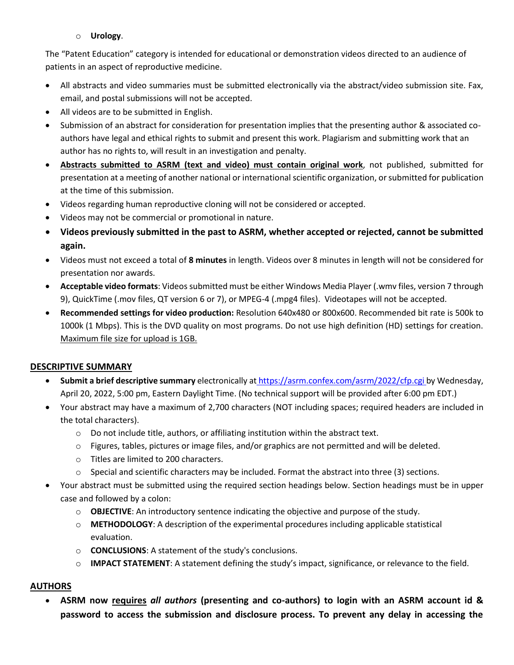# o **Urology**.

The "Patent Education" category is intended for educational or demonstration videos directed to an audience of patients in an aspect of reproductive medicine.

- All abstracts and video summaries must be submitted electronically via the abstract/video submission site. Fax, email, and postal submissions will not be accepted.
- All videos are to be submitted in English.
- Submission of an abstract for consideration for presentation implies that the presenting author & associated coauthors have legal and ethical rights to submit and present this work. Plagiarism and submitting work that an author has no rights to, will result in an investigation and penalty.
- **Abstracts submitted to ASRM (text and video) must contain original work**, not published, submitted for presentation at a meeting of another national or international scientific organization, or submitted for publication at the time of this submission.
- Videos regarding human reproductive cloning will not be considered or accepted.
- Videos may not be commercial or promotional in nature.
- **Videos previously submitted in the past to ASRM, whether accepted or rejected, cannot be submitted again.**
- Videos must not exceed a total of **8 minutes** in length. Videos over 8 minutes in length will not be considered for presentation nor awards.
- **Acceptable video formats**: Videos submitted must be either Windows Media Player (.wmv files, version 7 through 9), QuickTime (.mov files, QT version 6 or 7), or MPEG-4 (.mpg4 files). Videotapes will not be accepted.
- **Recommended settings for video production:** Resolution 640x480 or 800x600. Recommended bit rate is 500k to 1000k (1 Mbps). This is the DVD quality on most programs. Do not use high definition (HD) settings for creation. Maximum file size for upload is 1GB.

# **DESCRIPTIVE SUMMARY**

- **Submit a brief descriptive summary** electronically at <https://asrm.confex.com/asrm/2022/cfp.cgi> by Wednesday, April 20, 2022, 5:00 pm, Eastern Daylight Time. (No technical support will be provided after 6:00 pm EDT.)
- Your abstract may have a maximum of 2,700 characters (NOT including spaces; required headers are included in the total characters).
	- o Do not include title, authors, or affiliating institution within the abstract text.
	- $\circ$  Figures, tables, pictures or image files, and/or graphics are not permitted and will be deleted.
	- o Titles are limited to 200 characters.
	- $\circ$  Special and scientific characters may be included. Format the abstract into three (3) sections.
- Your abstract must be submitted using the required section headings below. Section headings must be in upper case and followed by a colon:
	- o **OBJECTIVE**: An introductory sentence indicating the objective and purpose of the study.
	- o **METHODOLOGY**: A description of the experimental procedures including applicable statistical evaluation.
	- o **CONCLUSIONS**: A statement of the study's conclusions.
	- o **IMPACT STATEMENT**: A statement defining the study's impact, significance, or relevance to the field.

# **AUTHORS**

• **ASRM now requires** *all authors* **(presenting and co-authors) to login with an ASRM account id & password to access the submission and disclosure process. To prevent any delay in accessing the**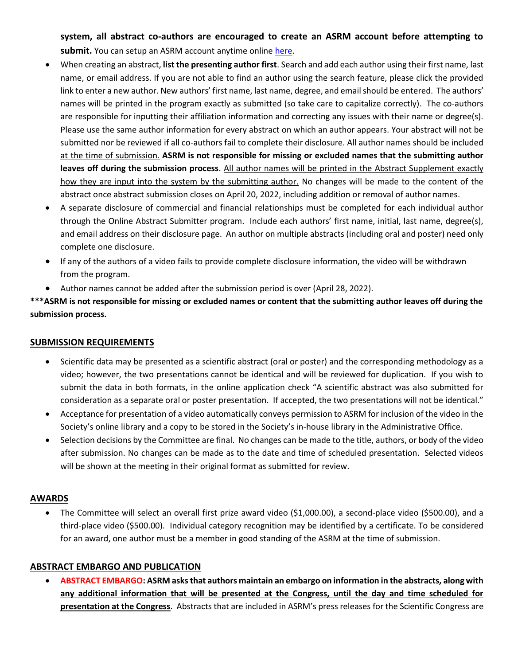**system, all abstract co-authors are encouraged to create an ASRM account before attempting to**  submit. You can setup an ASRM account anytime onlin[e here.](https://store.asrm.org/Register-Customer?returnurl=https%3a%2f%2fstore.asrm.org%2fMy-ASRM%2fLogin)

- When creating an abstract, **list the presenting author first**. Search and add each author using their first name, last name, or email address. If you are not able to find an author using the search feature, please click the provided link to enter a new author. New authors' first name, last name, degree, and email should be entered. The authors' names will be printed in the program exactly as submitted (so take care to capitalize correctly). The co-authors are responsible for inputting their affiliation information and correcting any issues with their name or degree(s). Please use the same author information for every abstract on which an author appears. Your abstract will not be submitted nor be reviewed if all co-authors fail to complete their disclosure. All author names should be included at the time of submission. **ASRM is not responsible for missing or excluded names that the submitting author leaves off during the submission process**. All author names will be printed in the Abstract Supplement exactly how they are input into the system by the submitting author. No changes will be made to the content of the abstract once abstract submission closes on April 20, 2022, including addition or removal of author names.
- A separate disclosure of commercial and financial relationships must be completed for each individual author through the Online Abstract Submitter program. Include each authors' first name, initial, last name, degree(s), and email address on their disclosure page. An author on multiple abstracts (including oral and poster) need only complete one disclosure.
- If any of the authors of a video fails to provide complete disclosure information, the video will be withdrawn from the program.
- Author names cannot be added after the submission period is over (April 28, 2022).

**\*\*\*ASRM is not responsible for missing or excluded names or content that the submitting author leaves off during the submission process.**

#### **SUBMISSION REQUIREMENTS**

- Scientific data may be presented as a scientific abstract (oral or poster) and the corresponding methodology as a video; however, the two presentations cannot be identical and will be reviewed for duplication. If you wish to submit the data in both formats, in the online application check "A scientific abstract was also submitted for consideration as a separate oral or poster presentation. If accepted, the two presentations will not be identical."
- Acceptance for presentation of a video automatically conveys permission to ASRM for inclusion of the video in the Society's online library and a copy to be stored in the Society's in-house library in the Administrative Office.
- Selection decisions by the Committee are final. No changes can be made to the title, authors, or body of the video after submission. No changes can be made as to the date and time of scheduled presentation. Selected videos will be shown at the meeting in their original format as submitted for review.

# **AWARDS**

• The Committee will select an overall first prize award video (\$1,000.00), a second-place video (\$500.00), and a third-place video (\$500.00). Individual category recognition may be identified by a certificate. To be considered for an award, one author must be a member in good standing of the ASRM at the time of submission.

#### **ABSTRACT EMBARGO AND PUBLICATION**

• **ABSTRACT EMBARGO: ASRM asks that authors maintain an embargo on information in the abstracts, along with any additional information that will be presented at the Congress, until the day and time scheduled for presentation at the Congress**. Abstracts that are included in ASRM's press releases for the Scientific Congress are